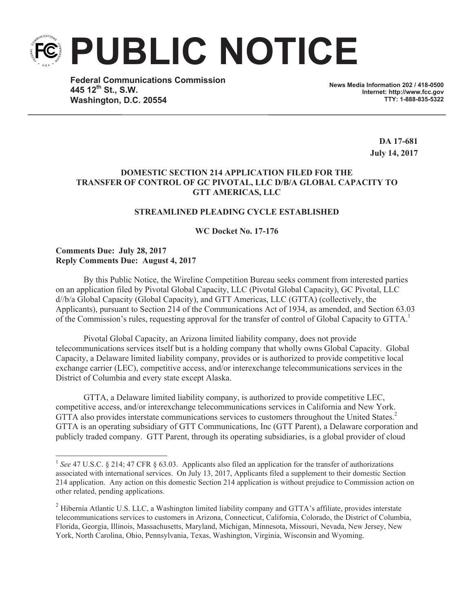**PUBLIC NOTICE**

**Federal Communications Commission 445 12th St., S.W. Washington, D.C. 20554**

**News Media Information 202 / 418-0500 Internet: http://www.fcc.gov TTY: 1-888-835-5322**

> **DA 17-681 July 14, 2017**

## **DOMESTIC SECTION 214 APPLICATION FILED FOR THE TRANSFER OF CONTROL OF GC PIVOTAL, LLC D/B/A GLOBAL CAPACITY TO GTT AMERICAS, LLC**

# **STREAMLINED PLEADING CYCLE ESTABLISHED**

**WC Docket No. 17-176**

### **Comments Due: July 28, 2017 Reply Comments Due: August 4, 2017**

By this Public Notice, the Wireline Competition Bureau seeks comment from interested parties on an application filed by Pivotal Global Capacity, LLC (Pivotal Global Capacity), GC Pivotal, LLC d//b/a Global Capacity (Global Capacity), and GTT Americas, LLC (GTTA) (collectively, the Applicants), pursuant to Section 214 of the Communications Act of 1934, as amended, and Section 63.03 of the Commission's rules, requesting approval for the transfer of control of Global Capacity to GTTA.<sup>1</sup>

Pivotal Global Capacity, an Arizona limited liability company, does not provide telecommunications services itself but is a holding company that wholly owns Global Capacity. Global Capacity, a Delaware limited liability company, provides or is authorized to provide competitive local exchange carrier (LEC), competitive access, and/or interexchange telecommunications services in the District of Columbia and every state except Alaska.

GTTA, a Delaware limited liability company, is authorized to provide competitive LEC, competitive access, and/or interexchange telecommunications services in California and New York. GTTA also provides interstate communications services to customers throughout the United States.<sup>2</sup> GTTA is an operating subsidiary of GTT Communications, Inc (GTT Parent), a Delaware corporation and publicly traded company. GTT Parent, through its operating subsidiaries, is a global provider of cloud

<sup>&</sup>lt;sup>1</sup> See 47 U.S.C. § 214; 47 CFR § 63.03. Applicants also filed an application for the transfer of authorizations associated with international services. On July 13, 2017, Applicants filed a supplement to their domestic Section 214 application. Any action on this domestic Section 214 application is without prejudice to Commission action on other related, pending applications.

<sup>&</sup>lt;sup>2</sup> Hibernia Atlantic U.S. LLC, a Washington limited liability company and GTTA's affiliate, provides interstate telecommunications services to customers in Arizona, Connecticut, California, Colorado, the District of Columbia, Florida, Georgia, Illinois, Massachusetts, Maryland, Michigan, Minnesota, Missouri, Nevada, New Jersey, New York, North Carolina, Ohio, Pennsylvania, Texas, Washington, Virginia, Wisconsin and Wyoming.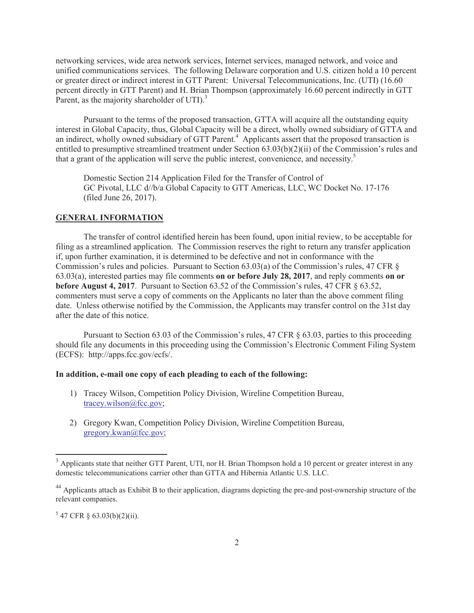networking services, wide area network services, Internet services, managed network, and voice and unified communications services. The following Delaware corporation and U.S. citizen hold a 10 percent or greater direct or indirect interest in GTT Parent: Universal Telecommunications, Inc. (UTI) (16.60 percent directly in GTT Parent) and H. Brian Thompson (approximately 16.60 percent indirectly in GTT Parent, as the majority shareholder of UTI).<sup>3</sup>

Pursuant to the terms of the proposed transaction, GTTA will acquire all the outstanding equity interest in Global Capacity, thus, Global Capacity will be a direct, wholly owned subsidiary of GTTA and an indirect, wholly owned subsidiary of GTT Parent.<sup>4</sup> Applicants assert that the proposed transaction is entitled to presumptive streamlined treatment under Section 63.03(b)(2)(ii) of the Commission's rules and that a grant of the application will serve the public interest, convenience, and necessity. 5

Domestic Section 214 Application Filed for the Transfer of Control of GC Pivotal, LLC d//b/a Global Capacity to GTT Americas, LLC, WC Docket No. 17-176 (filed June 26, 2017).

#### **GENERAL INFORMATION**

The transfer of control identified herein has been found, upon initial review, to be acceptable for filing as a streamlined application. The Commission reserves the right to return any transfer application if, upon further examination, it is determined to be defective and not in conformance with the Commission's rules and policies. Pursuant to Section 63.03(a) of the Commission's rules, 47 CFR § 63.03(a), interested parties may file comments **on or before July 28, 2017**, and reply comments **on or before August 4, 2017**. Pursuant to Section 63.52 of the Commission's rules, 47 CFR  $\&$  63.52, commenters must serve a copy of comments on the Applicants no later than the above comment filing date. Unless otherwise notified by the Commission, the Applicants may transfer control on the 31st day after the date of this notice.

Pursuant to Section 63.03 of the Commission's rules, 47 CFR § 63.03, parties to this proceeding should file any documents in this proceeding using the Commission's Electronic Comment Filing System (ECFS): http://apps.fcc.gov/ecfs/.

### **In addition, e-mail one copy of each pleading to each of the following:**

- 1) Tracey Wilson, Competition Policy Division, Wireline Competition Bureau, tracey.wilson@fcc.gov;
- 2) Gregory Kwan, Competition Policy Division, Wireline Competition Bureau, gregory.kwan@fcc.gov;

 $547$  CFR § 63.03(b)(2)(ii).

<sup>&</sup>lt;sup>3</sup> Applicants state that neither GTT Parent, UTI, nor H. Brian Thompson hold a 10 percent or greater interest in any domestic telecommunications carrier other than GTTA and Hibernia Atlantic U.S. LLC.

 $^{44}$  Applicants attach as Exhibit B to their application, diagrams depicting the pre-and post-ownership structure of the relevant companies.